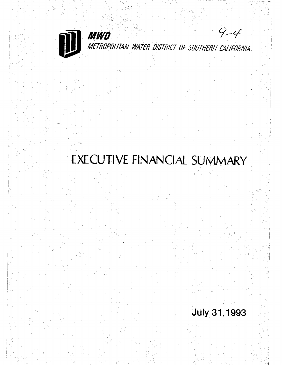

EXECUTIVE FINANCIAL SUMMARY

# **July 31, 1993**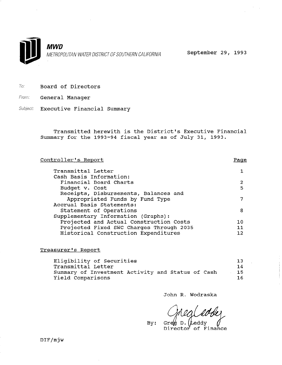

**MWD** METROPOLITAN WATER DISTRICT OF SOUTHERN CALIFORNIA September 29, 1993

- To: Board of Directors
- From: **General Manager**
- Subject: Executive Financial Summary

Transmitted herewith is the District's Executive Financial Summary for the 1993-94 fiscal year as of July 31, 1993.

| <u>Controller's Report</u>               | Page |
|------------------------------------------|------|
| Transmittal Letter                       | 1.   |
| Cash Basis Information:                  |      |
| Financial Board Charts                   | 2    |
| Budget v. Cost                           | 5    |
| Receipts, Disbursements, Balances and    |      |
| Appropriated Funds by Fund Type          |      |
| Accrual Basis Statements:                |      |
| Statement of Operations                  | 8    |
| Supplementary Information (Graphs):      |      |
| Projected and Actual Construction Costs  | 1 በ  |
| Projected Fixed SWC Charges Through 2035 | 11   |
| Historical Construction Expenditures     |      |
|                                          |      |

### Treasurer's Report

| Eligibility of Securities                         | 13 <sup>1</sup> |
|---------------------------------------------------|-----------------|
| Transmittal Letter                                | 14              |
| Summary of Investment Activity and Status of Cash | 15.             |
| Yield Comparisons                                 | 16.             |

John R. Wodraska

 $G \nrightleftharpoons D.$  [Leddy Director of Finance

 $By:$ 

DIF/mjw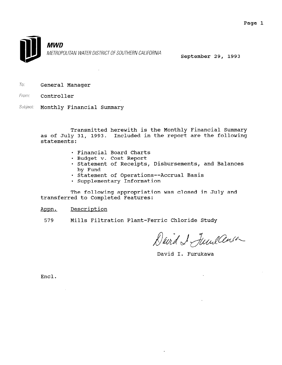

To: General Manager

From. Controller

*Subject:* Monthly Financial Summary

> Transmitted herewith is the Monthly Financial Summary as of July 31, 1993. Included in the report are the following statements:

- . Financial Board Charts
- · Budget v. Cost Report
- . Statement of Receipts, Disbursements, and Balances by Fund
- . Statement of Operations--Accrual Basis
- · Supplementary Information

The following appropriation was closed in July and transferred to Completed Features:

Appn. Description

579 Mills Filtration Plant-Ferric Chloride Study

David I Juneau

David I. Furukawa

Encl.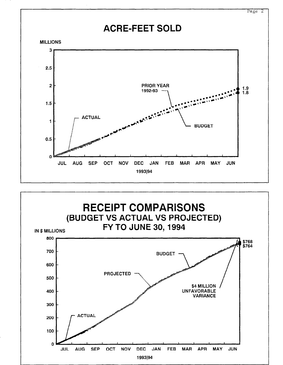

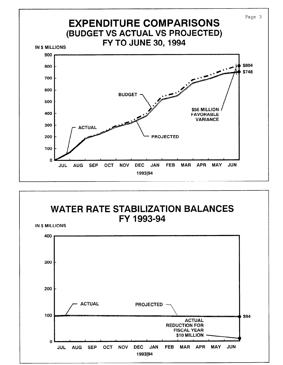

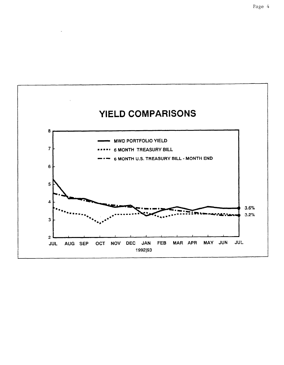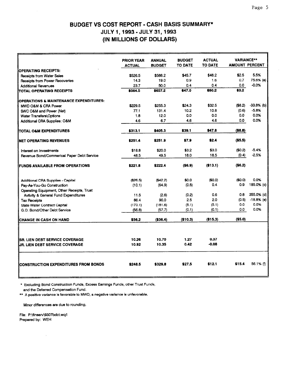### BUDGET VS COST REPORT - CASH BASIS SUMMARY\* JULY 1,1993-JULY 31,1993 (IN MILLIONS OF DOLLARS)

|                                                                    | <b>PRIOR YEAR</b> | <b>ANNUAL</b> | <b>BUDGET</b>  | <b>ACTUAL</b>  | <b>VARIANCE**</b>     |              |
|--------------------------------------------------------------------|-------------------|---------------|----------------|----------------|-----------------------|--------------|
|                                                                    | <b>ACTUAL</b>     | <b>BUDGET</b> | <b>TO DATE</b> | <b>TO DATE</b> | <b>AMOUNT PERCENT</b> |              |
| OPERATING RECEIPTS:                                                |                   |               |                |                |                       |              |
| <b>Receipts from Water Sales</b>                                   | \$526.5           | \$588.2       | \$45.7         | \$48.2         | \$2.5                 | 5.5%         |
| <b>Receipts from Power Recoveries</b>                              | 14.3              | 19.0          | 0.9            | 1.6            | 0.7                   | 75.6% (a)    |
| <b>Additional Revenues</b>                                         | 23.7              | 50.0          | 0.4            | 0.4            | 0.0                   | $-0.0%$      |
| TOTAL OPERATING RECEIPTS                                           | \$564.5           | \$657.2       | \$47.0         | \$50.2         | \$3.2\$               |              |
| OPERATIONS & MAINTENANCE EXPENDITURES:                             |                   |               |                |                |                       |              |
| MWD O&M & CRA Power                                                | \$229.5           | \$255.3       | \$24.3         | \$32.5         | (\$8.2)               | $-33.8%$ (b) |
| SWC O&M and Power (Net)                                            | 77.1              | 131.4         | 10.2           | 10.8           | (0.6)                 | $-5.8%$      |
| Water Transfers\Options                                            | 1.8               | 12.0          | 0.0            | 0.0            | 0.0                   | 0.0%         |
| Additional CRA Supplies: O&M                                       | 4.6               | 6.7           | 4.6            | 4.6            | 0.0                   | 0.0%         |
| itotal ołm expenditures                                            | \$313.1           | \$405.3       | \$39.1         | \$47.8         | ( \$8.8)              |              |
| NET OPERATING REVENUES                                             | \$251.4           | \$251.9       | \$7.9          | \$2.4          | ( \$5.5)              |              |
| Interest on Investments                                            | \$18.8            | \$20.0        | \$3.2          | \$3.0          | (SO.2)                | $-5.4%$      |
| Revenue Bond/Commerical Paper Debt Service                         | 48.5              | 49.5          | 18.0           | 18.5           | (0.4)                 | $-2.5%$      |
| ifunds available from operations                                   | \$221.8           | \$222.4       | (\$6.9)        | (\$13.1)       | ( \$6.2)              |              |
| Additional CRA Supplies - Capital                                  | (\$26.5)          | (\$42.2)      | \$0.0          | (\$0.0)        | (\$0.0)               | 0.0%         |
| Pay-As-You-Go Construction                                         | (10.1)            | (64.9)        | (0.5)          | 0.4            | 0.9                   | 185.0% (c)   |
| Operating Equipment, Other Receipts, Trust                         |                   |               |                |                |                       |              |
| Avtivity & General Fund Expenditures                               | 11.5              | (2.6)         | (0.2)          | 0.6            | 08                    | 355.0% (d)   |
| <b>Tax Receipts</b>                                                | 86.4              | 90.0          | 2.5            | 2.0            | (0.5)                 | $-18.8%$ (e) |
| <b>State Water Contract Capital</b>                                | (170.1)           | (181.6)       | (5.1)          | (5.1)          | 0.0                   | 0.0%         |
| G.O. Bond/Other Debt Service                                       | (56.8)            | (57.7)        | (0.1)          | (0,1)          | 0.0                   | 0.0%         |
| CHANGE IN CASH ON HAND                                             | \$56.2            | (\$36.4)      | (\$10.3)       | (\$15.3)       | ( \$5.0)              |              |
|                                                                    | 10.26             | 10.70         | 1.27           | 0.37           |                       |              |
| ISR. LIEN DEBT SERVICE COVERAGE<br>IUR. LIEN DEBT SERVICE COVERAGE | 10.92             | 10.35         | 0.42           | $-0.08$        |                       |              |
| CONSTRUCTION EXPENDITURES FROM BONDS                               | \$248.5           | \$329.8       | \$27.5         | \$12.1         | \$15.4                | 56.1% (f)    |

\* Excluding Bond Construction Funds, Excess Earnings Funds, other Trust Funds, and the Deferred Compensation Fund.

\*\* A positive variance is favorable to MWD, a negative variance is unfavorable.

Minor differences are due to rounding.

File: P:\finserv\9307bdct.wql Prepared by: WEH

 $\mathcal{A}$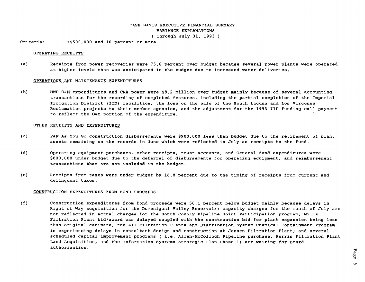### CASH BASIS EXECUTIVE FINANCIAL SUMMARY VARIANCE EXPLANATIONS ( Through July 31, 1993 )

Criteria:  $+5500,000$  and 10 percent or more

#### OPERATING RECEIPTS

(a) Receipts from power recoveries were 75.6 percent over budget because several power plants were operated at higher levels than was anticipated in the budget due to increased water deliveries.

#### OPERATIONS AND MAINTENANCE EXPENDITURES

(b) MWD O&M expenditures and CRA power were \$8.2 million over budget mainly because of several accounting transactions for the recording of completed features, including the partial completion of the Imperial Irrigation District (IID) facilities, the loss on the sale of the South Laguna and Los Virgenes Reclamation projects to their member agencies, and the adjustment for the 1993 IID funding call payment to reflect the O&M portion of the expenditure.

#### OTHER RECEIPTS AND EXPENDITURES

- $(c)$ Pay-As-You-Go construction disbursements were \$900,000 less than budget due to the retirement of plant assets remaining on the records in June which were reflected in July as receipts to the fund.
- (d) Operating equipment purchases, other receipts, trust accounts, and General Fund expenditures were \$800,000 under budget due to the deferral of disbursements for operating equipment, and reimbursement transactions that are not included in the budget.
- (e) Receipts from taxes were under budget by 18.8 percent due to the timing of receipts from current and delinquent taxes.

#### CONSTRUCTION EXPENDITURES FROM BOND PROCEEDS

 $(f)$ Construction expenditures from bond proceeds were 56.1 percent below budget mainly because delays in Right of Way acquisition for the Domenigoni Valley Reservoir; capacity charges for the month of July are not reflected in actual charges for the South County Pipeline Joint Participation program; Mills Filtration Plant bid/award was delayed coupled with the construction bid for plant expansion being less than original estimate; the All Filtration Plants and Distribution System Chemical Containment Program is experiencing delays in consultant design and construction at Jensen Filtration Plant; and several scheduled capital improvement programs ( i.e. Allen-McColloch Pipeline purchase, Perris Filtration Plant Land Acquisition, and the Information Systems Strategic Plan Phase 1) are waiting for Board authorization.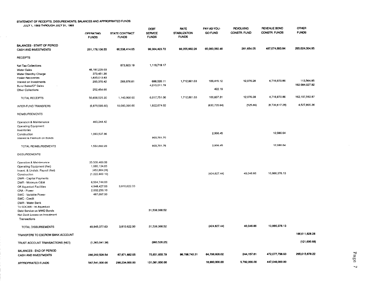#### STATEMENT OF RECEIPTS, DISBURSEMENTS, BALANCES AND APPROPRIATED FUNDS JULY 1, 1993 THROUGH JULY 31, 1993

APPROPRIATED FUNDS **87,541,000.00** 268,234,000.00 131,081,000.00

| JULI I, 1993 ITINUOGHIJULI JI, 1993                  | <b>OPERATING</b><br><b>FUNDS</b> | STATE CONTRACT<br><b>FUNDS</b> | <b>DEBT</b><br><b>SERVICE</b><br><b>FUNDS</b> | <b>RATE</b><br><b>STABILIZATION</b><br><b>FUNDS</b> | PAY-AS-YOU-<br><b>GO FUND</b> | <b>REVOLVING</b><br>CONSTR. FUND | REVENUE BOND<br>CONSTR. FUNDS | <b>OTHER</b><br><b>FUNDS</b> |
|------------------------------------------------------|----------------------------------|--------------------------------|-----------------------------------------------|-----------------------------------------------------|-------------------------------|----------------------------------|-------------------------------|------------------------------|
| BALANCES - START OF PERIOD<br>CASH AND INVESTMENTS   | 291,178,136.55                   | 60,538,414.05                  | 99,304,423.72                                 | 98.055,662.26                                       | 65,000,092.46                 | 261,654.05                       | 487,074,693.94                | 265,024,004.95               |
| <b>RECEIPTS</b>                                      |                                  |                                |                                               |                                                     |                               |                                  |                               |                              |
|                                                      |                                  |                                |                                               |                                                     |                               |                                  |                               |                              |
| Net Tax Collections                                  |                                  | 873,923.19                     | 1,119,719.17                                  |                                                     |                               |                                  |                               |                              |
| Water Sales                                          | 48, 197, 235.03                  |                                |                                               |                                                     |                               |                                  |                               |                              |
| Water Standby Charge                                 | 373,451.36                       |                                |                                               |                                                     |                               |                                  |                               |                              |
| Power Recoveries                                     | 1,635,013.83                     |                                |                                               | 1,712,661.03                                        | 109,415.12                    | 12,076.28                        | 4,716,970.66                  | 113,564.95                   |
| interest on Investments                              | 200,370.42                       | 269,976.81                     | 688,020.11                                    |                                                     |                               |                                  |                               | 162,084,027.92               |
| Bond Sales/CP Sales                                  | 252,454.66                       |                                | 4,210,011.78                                  |                                                     | 422.19                        |                                  |                               |                              |
| Other Collections                                    |                                  |                                |                                               |                                                     |                               |                                  |                               |                              |
| TOTAL RECEIPTS                                       | 50,658,525.30                    | 1,143,900 00                   | 6,017,751.06                                  | 1,712,861.03                                        | 109,837.31                    | 12,076.28                        | 4.716,970.86                  | 162, 197, 592.87             |
| INTER-FUND TRANSFERS                                 | (6, 879, 595.60)                 | 10,000,000.00                  | 1,922,674.02                                  |                                                     | (830, 735.64)                 | (525.86)                         | (0,739,617.28)                | 4,527,800.36                 |
| REIMBURSEMENTS                                       |                                  |                                |                                               |                                                     |                               |                                  |                               |                              |
| Operation & Maintenance                              | 460,344.42                       |                                |                                               |                                                     |                               |                                  |                               |                              |
| <b>Operating Equipment</b>                           |                                  |                                |                                               |                                                     |                               |                                  |                               |                              |
| Inventories                                          |                                  |                                |                                               |                                                     |                               |                                  |                               |                              |
| Construction                                         | 1,093,537.86                     |                                |                                               |                                                     | 2,906.45                      |                                  | 12,086.64                     |                              |
| Interest & Premium on Bonds                          |                                  |                                | 903,701.76                                    |                                                     |                               |                                  |                               |                              |
| TOTAL REIMBURSEMENTS                                 | 1,553,882.28                     |                                | 903,701.76                                    |                                                     | 2,906.45                      |                                  | 12,086.64                     |                              |
| <b>DISBURSEMENTS</b>                                 |                                  |                                |                                               |                                                     |                               |                                  |                               |                              |
| Operation & Maintenance                              | 35,509,469.06                    |                                |                                               |                                                     |                               |                                  |                               |                              |
| Operating Equipment (Net)                            | 1,080,134.85                     |                                |                                               |                                                     |                               |                                  |                               |                              |
| Invent. & Undistr. Payroll (Net)                     | (453, 884.28)                    |                                |                                               |                                                     |                               |                                  |                               |                              |
| Construction                                         | (1,222,869,10)                   |                                |                                               |                                                     | (424, 827.44)                 | 49,046.66                        | 10,986,378.13                 |                              |
| DWR - Capital Payments                               |                                  |                                |                                               |                                                     |                               |                                  |                               |                              |
| DWR - Minimum O&M                                    | 6,594,744.00                     |                                |                                               |                                                     |                               |                                  |                               |                              |
| Off Aqueduct Facilities                              | 4,948,427.00                     | 3,810,622.00                   |                                               |                                                     |                               |                                  |                               |                              |
| CRA - Power                                          | 2,002,259.10                     |                                |                                               |                                                     |                               |                                  |                               |                              |
| SWC - Variable Power                                 | 487,097.00                       |                                |                                               |                                                     |                               |                                  |                               |                              |
| SWC - Credit                                         |                                  |                                |                                               |                                                     |                               |                                  |                               |                              |
| DWR - Water Bank                                     |                                  |                                |                                               |                                                     |                               |                                  |                               |                              |
| To SDCWA - Ist Aqueduct<br>Debt Service on MWD Bonds |                                  |                                | 31,536,368.52                                 |                                                     |                               |                                  |                               |                              |
| Net Book Losses on Investment                        |                                  |                                |                                               |                                                     |                               |                                  |                               |                              |
| Transactions                                         |                                  |                                |                                               |                                                     |                               |                                  |                               |                              |
| TOTAL DISBURSEMENTS                                  | 48,945,377.63                    | 3,810,622.00                   | 31,536,368.52                                 |                                                     | (424, 827.44)                 | 49,046.86                        | 10,986,378.13                 |                              |
| TRANSFERS TO ESCROW BANK ACCOUNT                     |                                  |                                |                                               |                                                     |                               |                                  |                               | 166,611,828.28               |
| TRUST ACCOUNT TRANSACTIONS (NET)                     | (1,363,041.36)                   |                                | (960, 526.25)                                 |                                                     |                               |                                  |                               | (121.690.68)                 |
| BALANCES - END OF PERIOD                             |                                  |                                |                                               |                                                     |                               |                                  |                               |                              |
| <b>CASH AND INVESTMENTS</b>                          | 286.202.529.54                   | 67,671,692.05                  | 75,651,655.79                                 | 99,768,743.31                                       | 64,706,928.02                 | 244, 157.61                      | 472,077,756.03                | 265.015,879.22               |

18,900,000.00 5,792,000.00 447,046,000.00

 $\sim$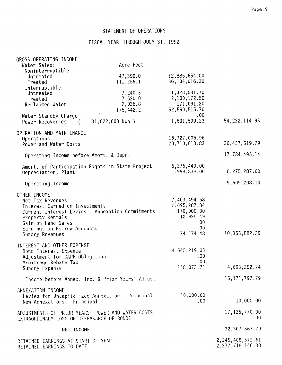### STATEMENT OF OPERATIONS

 $\mathcal{L}(\mathcal{A})$  and  $\mathcal{L}(\mathcal{A})$ 

## FISCAL YEAR THROUGH JULY 31, 1992

| GROSS OPERATING INCOME                            |                                                  |                            |                     |
|---------------------------------------------------|--------------------------------------------------|----------------------------|---------------------|
| Water Sales:                                      | Acre Feet                                        |                            |                     |
| Noninterruptible                                  |                                                  |                            |                     |
| Untreated                                         | 47,390.0                                         | 12,886,654.00              |                     |
| Treated                                           | 111,255.1                                        | 36,104,016.30              |                     |
| Interruptible                                     |                                                  |                            |                     |
| Untreated                                         | 7,240.3                                          | 1,328,581.70               |                     |
| Treated                                           | 7,520.0                                          | 2,100,172.50<br>171,091.20 |                     |
| Reclaimed Water                                   | 2,036.8<br>175,442.2                             | 52,590,515.70              |                     |
|                                                   |                                                  | .00                        |                     |
| Water Standby Charge<br>Power Recoveries:         | 31,022,000 kWh )                                 | 1,631,599.23               | 54, 222, 114.93     |
|                                                   |                                                  |                            |                     |
| OPERATION AND MAINTENANCE                         |                                                  | 15,727,005.96              |                     |
| Operations                                        |                                                  | 20,710,613.83              | 36, 437, 619.79     |
| Power and Water Costs                             |                                                  |                            |                     |
| Operating Income before Amort. & Depr.            |                                                  |                            | 17,784,495.14       |
| Amort. of Participation Rights in State Project   |                                                  | 6,276,449.00               |                     |
| Depreciation, Plant                               |                                                  | 1,998,838.00               | 8,275,287.00        |
| Operating Income                                  |                                                  |                            | 9,509,208.14        |
|                                                   |                                                  |                            |                     |
| OTHER INCOME                                      |                                                  |                            |                     |
| Net Tax Revenues                                  |                                                  | 7,403,494.58               |                     |
| Interest Earned on Investments                    |                                                  | 2,695,287.84               |                     |
| Current Interest Levies - Annexation Commitments  |                                                  | 170,000.00                 |                     |
| Property Rentals                                  |                                                  | 12,925.49                  |                     |
| Gain on Land Sales                                |                                                  | .00                        |                     |
| Earnings on Escrow Accounts                       |                                                  | $.00 \,$<br>74, 174.48     | 10, 355, 882.39     |
| Sundry Revenues                                   |                                                  |                            |                     |
| INTEREST AND OTHER EXPENSE                        |                                                  |                            |                     |
| Bond Interest Expense                             |                                                  | 4,545,219.03               |                     |
| Adjustment for OAPF Obligation                    |                                                  | .00                        |                     |
| Arbitrage Rebate Tax                              |                                                  | .00                        |                     |
| Sundry Expense                                    |                                                  | 148,073.71                 | 4,693,292.74        |
|                                                   | Income before Annex. Inc. & Prior Years' Adjust. |                            | 15, 171, 797. 79    |
| ANNEXATION INCOME                                 |                                                  |                            |                     |
| Levies for Uncapitalized Annexation - Principal   |                                                  | 10,000.00                  |                     |
| New Annexations - Principal                       |                                                  | .00                        | 10,000.00           |
|                                                   |                                                  |                            |                     |
| ADJUSTMENTS OF PRIOR YEARS' POWER AND WATER COSTS |                                                  |                            | 17, 125, 770.00     |
| EXTRAORDINARY LOSS ON DEFEASANCE OF BONDS         |                                                  |                            | .00                 |
| NET INCOME                                        |                                                  |                            | 32, 307, 567.79     |
|                                                   |                                                  |                            |                     |
| RETAINED EARNINGS AT START OF YEAR                |                                                  |                            | 2, 245, 408, 572.51 |
| RETAINED EARNINGS TO DATE                         |                                                  |                            | 2, 277, 716, 140.30 |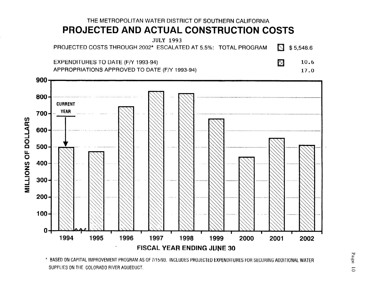## THE METROPOLITAN WATER DISTRICT OF SOUTHERN CALIFORNIA PROJECTED AND ACTUAL CONSTRUCTION COSTS

**JULY 1993** PROJECTED COSTS THROUGH 2002\* ESCALATED AT 5.5%: TOTAL PROGRAM  $\sum$  \$5,548.6

**EXPENDITURES TO DATE (F/Y 1993-94)** APPROPRIATIONS APPROVED TO DATE (F/Y 1993-94)  $\boxtimes$ 10.6

17.0



\* BASED ON CAPITAL IMPROVEMENT PROGRAM AS OF 7/15/93. INCLUDES PROJECTED EXPENDITURES FOR SECURING ADDITIONAL WATER SUPPLIES ON THE COLORADO RIVER AQUEDUCT.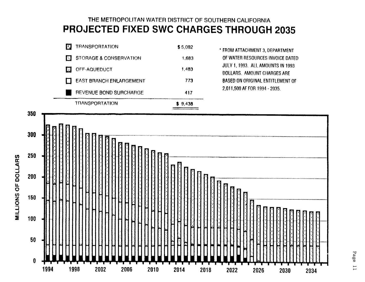## THE METROPOLITAN WATER DISTRICT OF SOUTHERN CALIFORNIA PROJECTED FIXED SWC CHARGES THROUGH 2035





MILLIONS OF DOLLARS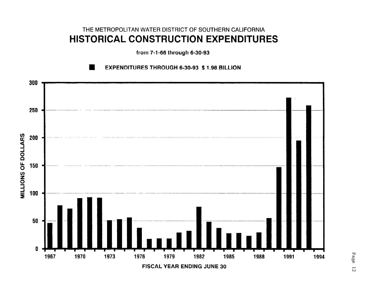## THE METROPOLITAN WATER DISTRICT OF SOUTHERN CALIFORNIA HISTORICAL CONSTRUCTION EXPENDITURES

from 7-1-66 through 6-30-93

**EXPENDITURES THROUGH 6-30-93 \$ 1.98 BILLION** 

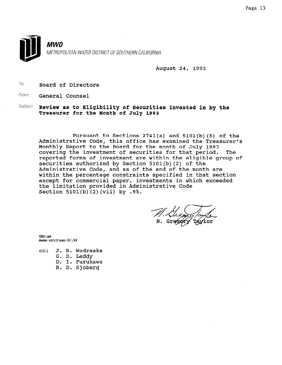

August 24, 1993

 $70$ : Board of Directors

From: **General Counsel** 

 $Subject:$  Review as to Eligibility of Securities Invested in by the Treasurer for the Month of July 1993

pursuant to Sections 2741(a) and 5101(b)(5) of the Administrative Code, this office has examined the Treasurer's Monthly Report to the Board for the month of July 1993 covering the investment of securities for that period. The reported forms of investment are within the eligible group of securities authorized by Section 5101(b)(2) of the Administrative Code, and as of the end of the month are within the percentage constraints specified in that section except for commercial paper, investments in which exceeded the limitation provided in Administrative Code Section 5101(b)(2)(vii) by .9%.

SBB:gm memo-sb\treas-07.93

- cc: J. R. Wodraska
	- G. D. Leddy
	- D. I. Furukawa
	- R. D. Sjoberg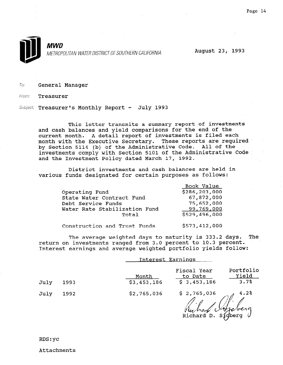

To: General Manager

From: Treasurer

Subject: Treasurer's Monthly Report - July 1993

This letter transmits a summary report of investments and cash balances and yield comparisons for the end of the current month. A detail report of investments is filed each month with the Executive Secretary. These reports are required by Section 5114 (b) of the Administrative Code. All of the investments comply with Section 5101 of the Administrative Code and the Investment Policy dated March 17, 1992.

District investments and cash balances are held in various funds designated for certain purposes as follows:

| Operating Fund<br>State Water Contract Fund<br>Debt Service Funds<br>Water Rate Stabilization Fund<br>Total | Book Value<br>\$286,203,000<br>67,872,000<br>75,652,000<br>99,769,000<br>\$529,496,000 |
|-------------------------------------------------------------------------------------------------------------|----------------------------------------------------------------------------------------|
| Construction and Trust Funds                                                                                | \$573,412,000                                                                          |

The average weighted days to maturity is 333.2 days. The return on investments ranged from 3.0 percent to 10.3 percent. Interest earnings and average weighted portfolio yields follow:

|      |      | Interest Earnings                                                                           |
|------|------|---------------------------------------------------------------------------------------------|
| July | 1993 | Portfolio<br>Fiscal Year<br>Yield<br>to Date<br>Month<br>3.7%<br>\$3,453,186<br>\$3,453,186 |
| July | 1992 | \$2,765,036<br>4.2%<br>\$2,765,036<br>Richard D.<br>Sidberg                                 |

Attachments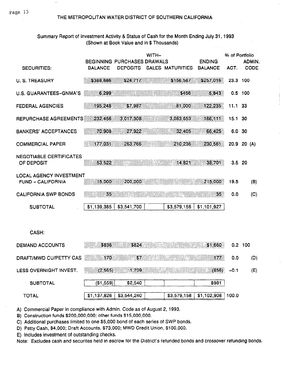Page 15

### THE METROPOLITAN WATER DISTRICT OF SOUTHERN CALIFORNIA

### Summary Report of Investment Activity & Status of Cash for the Month Ending July 31, 1993 (Shown at Book Value and in \$ Thousands)

|                                                     |                | BEGINNING PURCHASES DRAWALS | WITH- |                  | <b>ENDING</b>   | % of Portfolio | ADMIN.      |
|-----------------------------------------------------|----------------|-----------------------------|-------|------------------|-----------------|----------------|-------------|
| <b>SECURITIES:</b>                                  | <b>BALANCE</b> | <b>DEPOSITS</b>             |       | SALES MATURITIES | <b>BALANCE</b>  | ACT.           | <b>CODE</b> |
| <b>U. S. TREASURY</b>                               | \$388,886      | \$24,717                    |       | \$156,587        | \$257,016       | 23.3 100       |             |
| <b>U.S. GUARANTEES-GNMA'S</b>                       | 6.299          |                             |       | \$456            | 5,843           |                | $0.5$ 100   |
| <b>FEDERAL AGENCIES</b>                             | 195,248        | \$7.987                     |       | 81,000           | 122,235         | 11.1 33        |             |
| REPURCHASE AGREEMENTS                               | 232,456        | 3,017,308                   |       | 3,083,653        | 166,111         | 15.1 30        |             |
| <b>BANKERS' ACCEPTANCES</b>                         | 70,908         | 27,922                      |       | 32.405           | 66,425          | 6.0 30         |             |
| <b>COMMERCIAL PAPER</b>                             | 177,031        | 263,766                     |       | 210,236          | 230,561         |                | 20.9 20 (A) |
| <b>NEGOTIABLE CERTIFICATES</b><br>OF DEPOSIT        | 53,522         |                             |       | 14 821           | 38,701          | $3.5$ 20       |             |
| <b>LOCAL AGENCY INVESTMENT</b><br>FUND - CALIFORNIA | 15,000         | 200,000                     |       |                  | 215,000         | 19.5           | (B)         |
| <b>CALIFORNIA SWP BONDS</b>                         | 35             |                             |       |                  | 35 <sup>2</sup> | 0.0            | (C)         |
| <b>SUBTOTAL</b>                                     | \$1,139,385    | \$3,541,700                 |       | \$3,579,158      | \$1,101,927     |                |             |
|                                                     |                |                             |       |                  |                 |                |             |
| CASH:                                               |                |                             |       |                  |                 |                |             |
| <b>DEMAND ACCOUNTS</b>                              | \$836          | \$824                       |       |                  | \$1,660         |                | $0.2$ 100   |
| <b>DRAFT/MWD CU/PETTY CAS</b>                       | 170            | \$7                         |       |                  | 177             | 0.0            | (D)         |
| LESS OVERNIGHT INVEST.                              | (2, 565)       | 1,709                       |       |                  | (856)           | $-0.1$         | (E)         |

 $($1,559)$ \$2,540 \$981 **SUBTOTAL**  $$1,102,908$  100.0  $$1,137,826$ \$3,544,240 \$3,579.158 **TOTAL** 

A) Commercial Paper in compliance with Admin. Code as of August 2, 1993.

B) Construction funds \$200,000,000; other funds \$15,000,000.

C) Additional purchases limited to one \$5,000 bond of each series of SWP bonds.

D) Petty Cash, \$4,000; Draft Accounts, \$73,000; MWD Credit Union, \$100,000.

E) Includes investment of outstanding checks.

Note: Excludes cash and securites held in escrow for the District's refunded bonds and crossover refunding bonds.